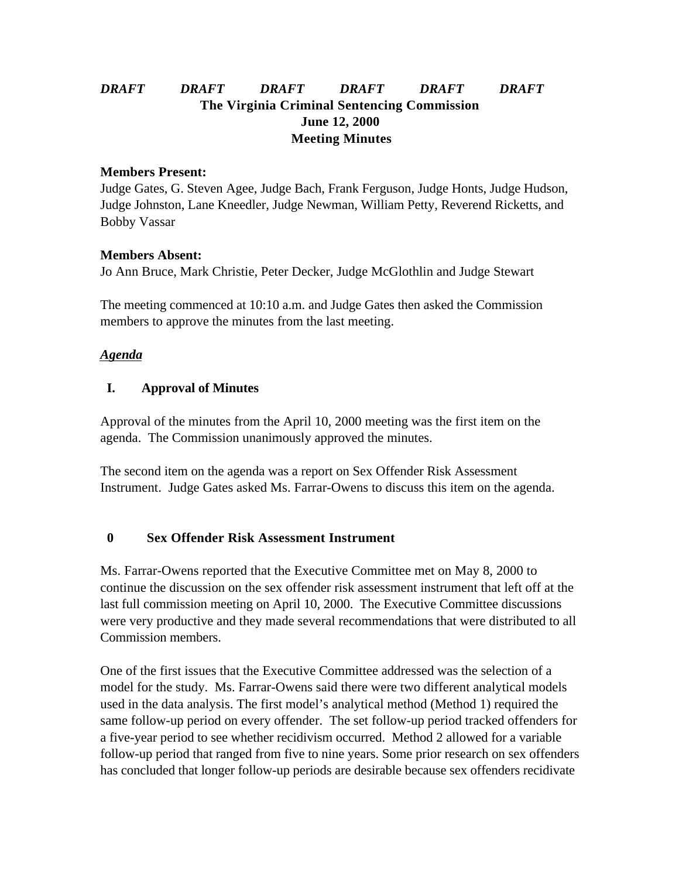# *DRAFT DRAFT DRAFT DRAFT DRAFT DRAFT* **The Virginia Criminal Sentencing Commission June 12, 2000 Meeting Minutes**

#### **Members Present:**

Judge Gates, G. Steven Agee, Judge Bach, Frank Ferguson, Judge Honts, Judge Hudson, Judge Johnston, Lane Kneedler, Judge Newman, William Petty, Reverend Ricketts, and Bobby Vassar

#### **Members Absent:**

Jo Ann Bruce, Mark Christie, Peter Decker, Judge McGlothlin and Judge Stewart

The meeting commenced at 10:10 a.m. and Judge Gates then asked the Commission members to approve the minutes from the last meeting.

## *Agenda*

## **I. Approval of Minutes**

Approval of the minutes from the April 10, 2000 meeting was the first item on the agenda. The Commission unanimously approved the minutes.

The second item on the agenda was a report on Sex Offender Risk Assessment Instrument. Judge Gates asked Ms. Farrar-Owens to discuss this item on the agenda.

## **0 Sex Offender Risk Assessment Instrument**

Ms. Farrar-Owens reported that the Executive Committee met on May 8, 2000 to continue the discussion on the sex offender risk assessment instrument that left off at the last full commission meeting on April 10, 2000. The Executive Committee discussions were very productive and they made several recommendations that were distributed to all Commission members.

One of the first issues that the Executive Committee addressed was the selection of a model for the study. Ms. Farrar-Owens said there were two different analytical models used in the data analysis. The first model's analytical method (Method 1) required the same follow-up period on every offender. The set follow-up period tracked offenders for a five-year period to see whether recidivism occurred. Method 2 allowed for a variable follow-up period that ranged from five to nine years. Some prior research on sex offenders has concluded that longer follow-up periods are desirable because sex offenders recidivate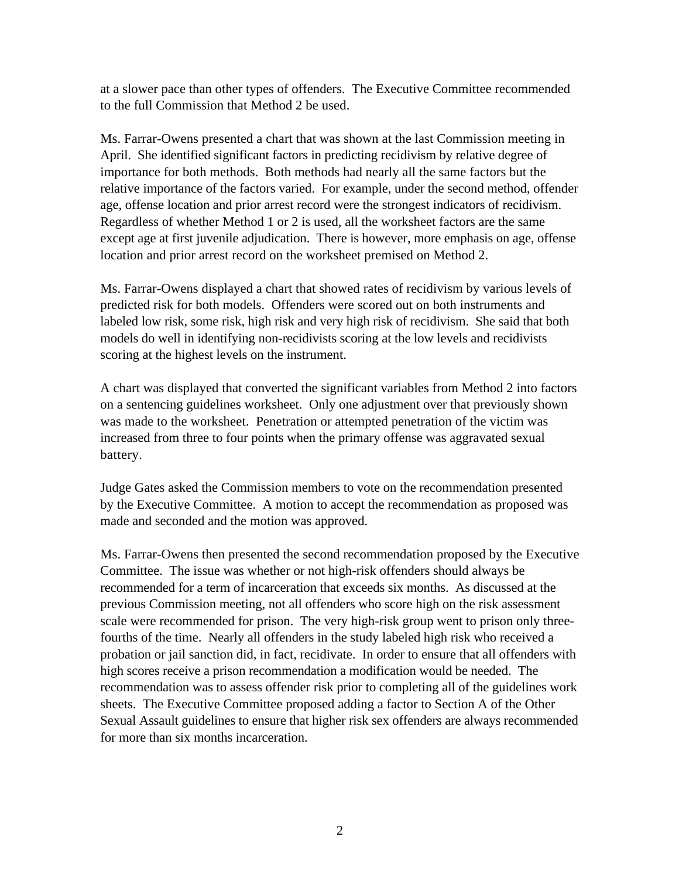at a slower pace than other types of offenders. The Executive Committee recommended to the full Commission that Method 2 be used.

Ms. Farrar-Owens presented a chart that was shown at the last Commission meeting in April. She identified significant factors in predicting recidivism by relative degree of importance for both methods. Both methods had nearly all the same factors but the relative importance of the factors varied. For example, under the second method, offender age, offense location and prior arrest record were the strongest indicators of recidivism. Regardless of whether Method 1 or 2 is used, all the worksheet factors are the same except age at first juvenile adjudication. There is however, more emphasis on age, offense location and prior arrest record on the worksheet premised on Method 2.

Ms. Farrar-Owens displayed a chart that showed rates of recidivism by various levels of predicted risk for both models. Offenders were scored out on both instruments and labeled low risk, some risk, high risk and very high risk of recidivism. She said that both models do well in identifying non-recidivists scoring at the low levels and recidivists scoring at the highest levels on the instrument.

A chart was displayed that converted the significant variables from Method 2 into factors on a sentencing guidelines worksheet. Only one adjustment over that previously shown was made to the worksheet. Penetration or attempted penetration of the victim was increased from three to four points when the primary offense was aggravated sexual battery.

Judge Gates asked the Commission members to vote on the recommendation presented by the Executive Committee. A motion to accept the recommendation as proposed was made and seconded and the motion was approved.

Ms. Farrar-Owens then presented the second recommendation proposed by the Executive Committee. The issue was whether or not high-risk offenders should always be recommended for a term of incarceration that exceeds six months. As discussed at the previous Commission meeting, not all offenders who score high on the risk assessment scale were recommended for prison. The very high-risk group went to prison only threefourths of the time. Nearly all offenders in the study labeled high risk who received a probation or jail sanction did, in fact, recidivate. In order to ensure that all offenders with high scores receive a prison recommendation a modification would be needed. The recommendation was to assess offender risk prior to completing all of the guidelines work sheets. The Executive Committee proposed adding a factor to Section A of the Other Sexual Assault guidelines to ensure that higher risk sex offenders are always recommended for more than six months incarceration.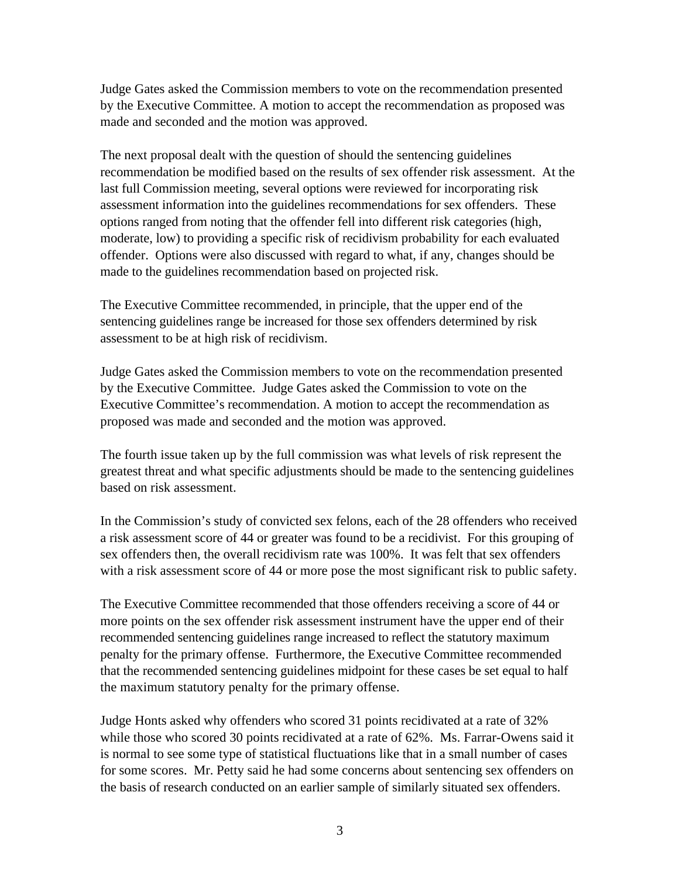Judge Gates asked the Commission members to vote on the recommendation presented by the Executive Committee. A motion to accept the recommendation as proposed was made and seconded and the motion was approved.

The next proposal dealt with the question of should the sentencing guidelines recommendation be modified based on the results of sex offender risk assessment. At the last full Commission meeting, several options were reviewed for incorporating risk assessment information into the guidelines recommendations for sex offenders. These options ranged from noting that the offender fell into different risk categories (high, moderate, low) to providing a specific risk of recidivism probability for each evaluated offender. Options were also discussed with regard to what, if any, changes should be made to the guidelines recommendation based on projected risk.

The Executive Committee recommended, in principle, that the upper end of the sentencing guidelines range be increased for those sex offenders determined by risk assessment to be at high risk of recidivism.

Judge Gates asked the Commission members to vote on the recommendation presented by the Executive Committee. Judge Gates asked the Commission to vote on the Executive Committee's recommendation. A motion to accept the recommendation as proposed was made and seconded and the motion was approved.

The fourth issue taken up by the full commission was what levels of risk represent the greatest threat and what specific adjustments should be made to the sentencing guidelines based on risk assessment.

In the Commission's study of convicted sex felons, each of the 28 offenders who received a risk assessment score of 44 or greater was found to be a recidivist. For this grouping of sex offenders then, the overall recidivism rate was 100%. It was felt that sex offenders with a risk assessment score of 44 or more pose the most significant risk to public safety.

The Executive Committee recommended that those offenders receiving a score of 44 or more points on the sex offender risk assessment instrument have the upper end of their recommended sentencing guidelines range increased to reflect the statutory maximum penalty for the primary offense. Furthermore, the Executive Committee recommended that the recommended sentencing guidelines midpoint for these cases be set equal to half the maximum statutory penalty for the primary offense.

Judge Honts asked why offenders who scored 31 points recidivated at a rate of 32% while those who scored 30 points recidivated at a rate of 62%. Ms. Farrar-Owens said it is normal to see some type of statistical fluctuations like that in a small number of cases for some scores. Mr. Petty said he had some concerns about sentencing sex offenders on the basis of research conducted on an earlier sample of similarly situated sex offenders.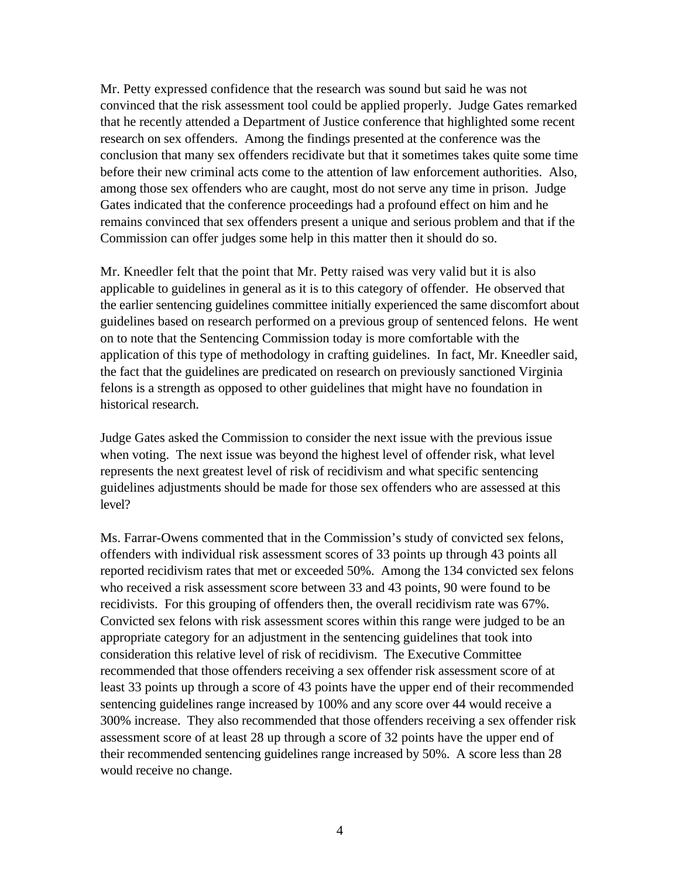Mr. Petty expressed confidence that the research was sound but said he was not convinced that the risk assessment tool could be applied properly. Judge Gates remarked that he recently attended a Department of Justice conference that highlighted some recent research on sex offenders. Among the findings presented at the conference was the conclusion that many sex offenders recidivate but that it sometimes takes quite some time before their new criminal acts come to the attention of law enforcement authorities. Also, among those sex offenders who are caught, most do not serve any time in prison. Judge Gates indicated that the conference proceedings had a profound effect on him and he remains convinced that sex offenders present a unique and serious problem and that if the Commission can offer judges some help in this matter then it should do so.

Mr. Kneedler felt that the point that Mr. Petty raised was very valid but it is also applicable to guidelines in general as it is to this category of offender. He observed that the earlier sentencing guidelines committee initially experienced the same discomfort about guidelines based on research performed on a previous group of sentenced felons. He went on to note that the Sentencing Commission today is more comfortable with the application of this type of methodology in crafting guidelines. In fact, Mr. Kneedler said, the fact that the guidelines are predicated on research on previously sanctioned Virginia felons is a strength as opposed to other guidelines that might have no foundation in historical research.

Judge Gates asked the Commission to consider the next issue with the previous issue when voting. The next issue was beyond the highest level of offender risk, what level represents the next greatest level of risk of recidivism and what specific sentencing guidelines adjustments should be made for those sex offenders who are assessed at this level?

Ms. Farrar-Owens commented that in the Commission's study of convicted sex felons, offenders with individual risk assessment scores of 33 points up through 43 points all reported recidivism rates that met or exceeded 50%. Among the 134 convicted sex felons who received a risk assessment score between 33 and 43 points, 90 were found to be recidivists. For this grouping of offenders then, the overall recidivism rate was 67%. Convicted sex felons with risk assessment scores within this range were judged to be an appropriate category for an adjustment in the sentencing guidelines that took into consideration this relative level of risk of recidivism. The Executive Committee recommended that those offenders receiving a sex offender risk assessment score of at least 33 points up through a score of 43 points have the upper end of their recommended sentencing guidelines range increased by 100% and any score over 44 would receive a 300% increase. They also recommended that those offenders receiving a sex offender risk assessment score of at least 28 up through a score of 32 points have the upper end of their recommended sentencing guidelines range increased by 50%. A score less than 28 would receive no change.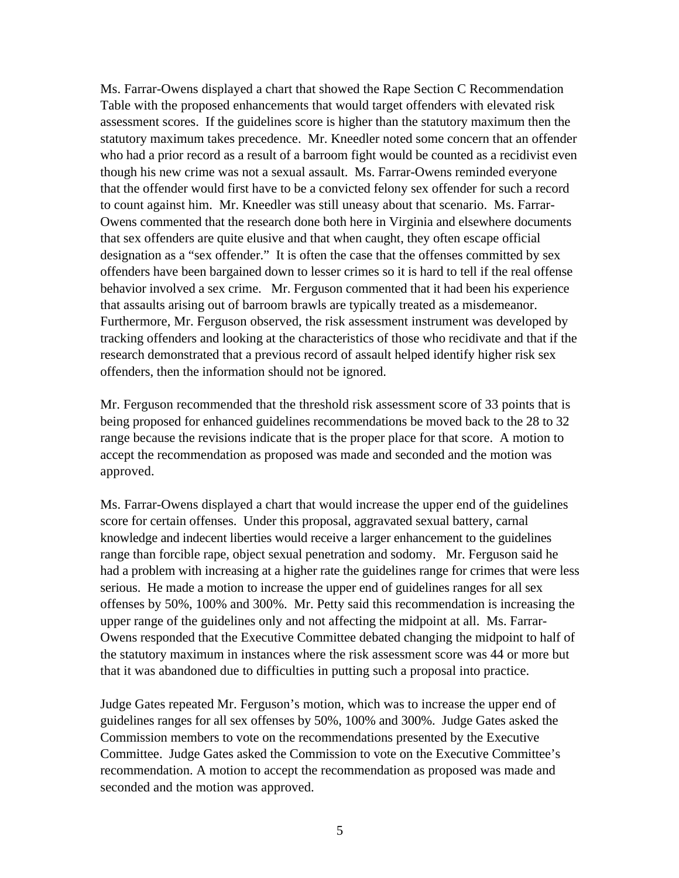Ms. Farrar-Owens displayed a chart that showed the Rape Section C Recommendation Table with the proposed enhancements that would target offenders with elevated risk assessment scores. If the guidelines score is higher than the statutory maximum then the statutory maximum takes precedence. Mr. Kneedler noted some concern that an offender who had a prior record as a result of a barroom fight would be counted as a recidivist even though his new crime was not a sexual assault. Ms. Farrar-Owens reminded everyone that the offender would first have to be a convicted felony sex offender for such a record to count against him. Mr. Kneedler was still uneasy about that scenario. Ms. Farrar-Owens commented that the research done both here in Virginia and elsewhere documents that sex offenders are quite elusive and that when caught, they often escape official designation as a "sex offender." It is often the case that the offenses committed by sex offenders have been bargained down to lesser crimes so it is hard to tell if the real offense behavior involved a sex crime. Mr. Ferguson commented that it had been his experience that assaults arising out of barroom brawls are typically treated as a misdemeanor. Furthermore, Mr. Ferguson observed, the risk assessment instrument was developed by tracking offenders and looking at the characteristics of those who recidivate and that if the research demonstrated that a previous record of assault helped identify higher risk sex offenders, then the information should not be ignored.

Mr. Ferguson recommended that the threshold risk assessment score of 33 points that is being proposed for enhanced guidelines recommendations be moved back to the 28 to 32 range because the revisions indicate that is the proper place for that score. A motion to accept the recommendation as proposed was made and seconded and the motion was approved.

Ms. Farrar-Owens displayed a chart that would increase the upper end of the guidelines score for certain offenses. Under this proposal, aggravated sexual battery, carnal knowledge and indecent liberties would receive a larger enhancement to the guidelines range than forcible rape, object sexual penetration and sodomy. Mr. Ferguson said he had a problem with increasing at a higher rate the guidelines range for crimes that were less serious. He made a motion to increase the upper end of guidelines ranges for all sex offenses by 50%, 100% and 300%. Mr. Petty said this recommendation is increasing the upper range of the guidelines only and not affecting the midpoint at all. Ms. Farrar-Owens responded that the Executive Committee debated changing the midpoint to half of the statutory maximum in instances where the risk assessment score was 44 or more but that it was abandoned due to difficulties in putting such a proposal into practice.

Judge Gates repeated Mr. Ferguson's motion, which was to increase the upper end of guidelines ranges for all sex offenses by 50%, 100% and 300%. Judge Gates asked the Commission members to vote on the recommendations presented by the Executive Committee. Judge Gates asked the Commission to vote on the Executive Committee's recommendation. A motion to accept the recommendation as proposed was made and seconded and the motion was approved.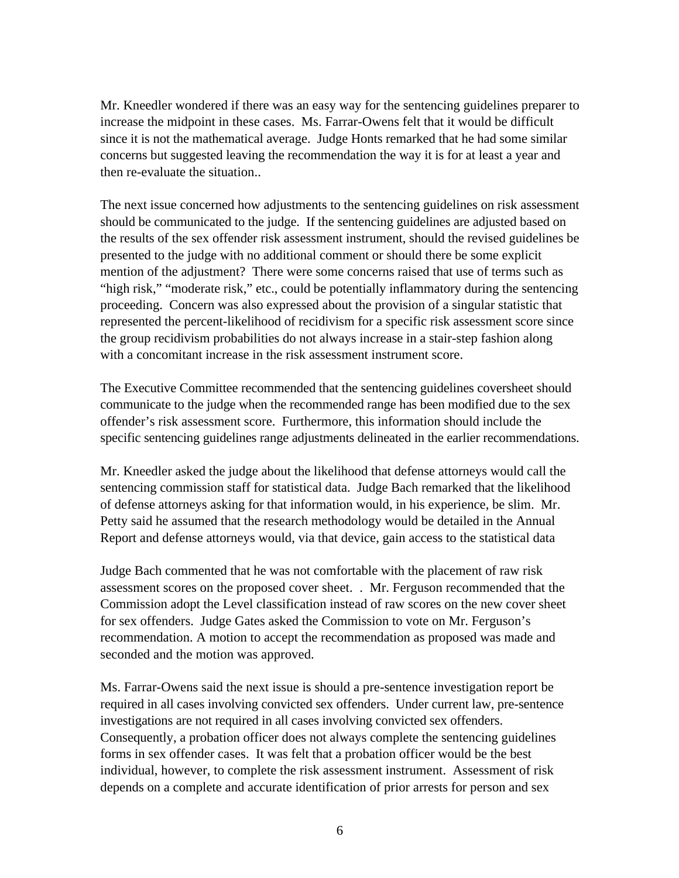Mr. Kneedler wondered if there was an easy way for the sentencing guidelines preparer to increase the midpoint in these cases. Ms. Farrar-Owens felt that it would be difficult since it is not the mathematical average. Judge Honts remarked that he had some similar concerns but suggested leaving the recommendation the way it is for at least a year and then re-evaluate the situation..

The next issue concerned how adjustments to the sentencing guidelines on risk assessment should be communicated to the judge. If the sentencing guidelines are adjusted based on the results of the sex offender risk assessment instrument, should the revised guidelines be presented to the judge with no additional comment or should there be some explicit mention of the adjustment? There were some concerns raised that use of terms such as "high risk," "moderate risk," etc., could be potentially inflammatory during the sentencing proceeding. Concern was also expressed about the provision of a singular statistic that represented the percent-likelihood of recidivism for a specific risk assessment score since the group recidivism probabilities do not always increase in a stair-step fashion along with a concomitant increase in the risk assessment instrument score.

The Executive Committee recommended that the sentencing guidelines coversheet should communicate to the judge when the recommended range has been modified due to the sex offender's risk assessment score. Furthermore, this information should include the specific sentencing guidelines range adjustments delineated in the earlier recommendations.

Mr. Kneedler asked the judge about the likelihood that defense attorneys would call the sentencing commission staff for statistical data. Judge Bach remarked that the likelihood of defense attorneys asking for that information would, in his experience, be slim. Mr. Petty said he assumed that the research methodology would be detailed in the Annual Report and defense attorneys would, via that device, gain access to the statistical data

Judge Bach commented that he was not comfortable with the placement of raw risk assessment scores on the proposed cover sheet. . Mr. Ferguson recommended that the Commission adopt the Level classification instead of raw scores on the new cover sheet for sex offenders. Judge Gates asked the Commission to vote on Mr. Ferguson's recommendation. A motion to accept the recommendation as proposed was made and seconded and the motion was approved.

Ms. Farrar-Owens said the next issue is should a pre-sentence investigation report be required in all cases involving convicted sex offenders. Under current law, pre-sentence investigations are not required in all cases involving convicted sex offenders. Consequently, a probation officer does not always complete the sentencing guidelines forms in sex offender cases. It was felt that a probation officer would be the best individual, however, to complete the risk assessment instrument. Assessment of risk depends on a complete and accurate identification of prior arrests for person and sex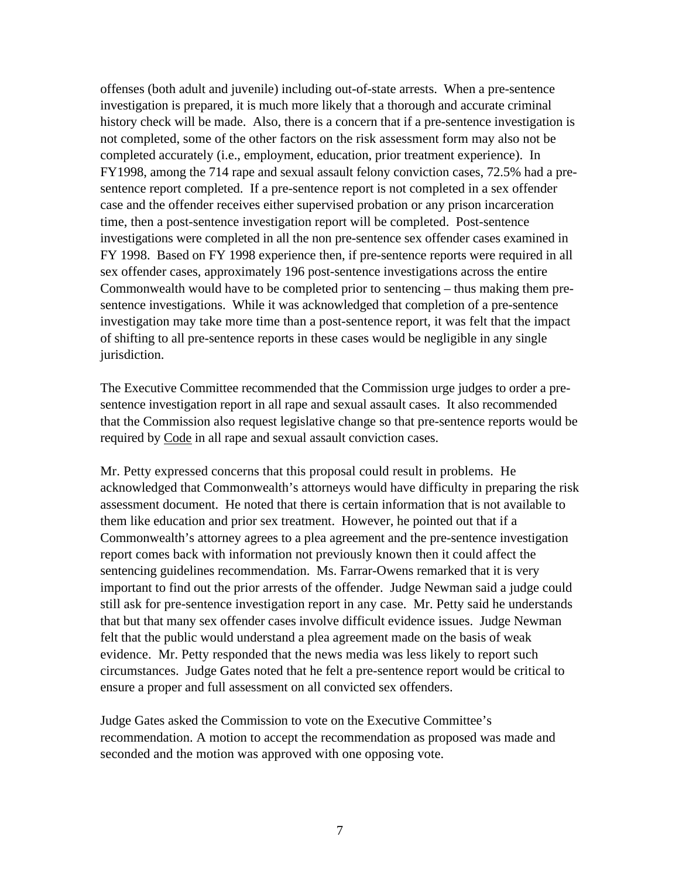offenses (both adult and juvenile) including out-of-state arrests. When a pre-sentence investigation is prepared, it is much more likely that a thorough and accurate criminal history check will be made. Also, there is a concern that if a pre-sentence investigation is not completed, some of the other factors on the risk assessment form may also not be completed accurately (i.e., employment, education, prior treatment experience). In FY1998, among the 714 rape and sexual assault felony conviction cases, 72.5% had a presentence report completed. If a pre-sentence report is not completed in a sex offender case and the offender receives either supervised probation or any prison incarceration time, then a post-sentence investigation report will be completed. Post-sentence investigations were completed in all the non pre-sentence sex offender cases examined in FY 1998. Based on FY 1998 experience then, if pre-sentence reports were required in all sex offender cases, approximately 196 post-sentence investigations across the entire Commonwealth would have to be completed prior to sentencing – thus making them presentence investigations. While it was acknowledged that completion of a pre-sentence investigation may take more time than a post-sentence report, it was felt that the impact of shifting to all pre-sentence reports in these cases would be negligible in any single jurisdiction.

The Executive Committee recommended that the Commission urge judges to order a presentence investigation report in all rape and sexual assault cases. It also recommended that the Commission also request legislative change so that pre-sentence reports would be required by Code in all rape and sexual assault conviction cases.

Mr. Petty expressed concerns that this proposal could result in problems. He acknowledged that Commonwealth's attorneys would have difficulty in preparing the risk assessment document. He noted that there is certain information that is not available to them like education and prior sex treatment. However, he pointed out that if a Commonwealth's attorney agrees to a plea agreement and the pre-sentence investigation report comes back with information not previously known then it could affect the sentencing guidelines recommendation. Ms. Farrar-Owens remarked that it is very important to find out the prior arrests of the offender. Judge Newman said a judge could still ask for pre-sentence investigation report in any case. Mr. Petty said he understands that but that many sex offender cases involve difficult evidence issues. Judge Newman felt that the public would understand a plea agreement made on the basis of weak evidence. Mr. Petty responded that the news media was less likely to report such circumstances. Judge Gates noted that he felt a pre-sentence report would be critical to ensure a proper and full assessment on all convicted sex offenders.

Judge Gates asked the Commission to vote on the Executive Committee's recommendation. A motion to accept the recommendation as proposed was made and seconded and the motion was approved with one opposing vote.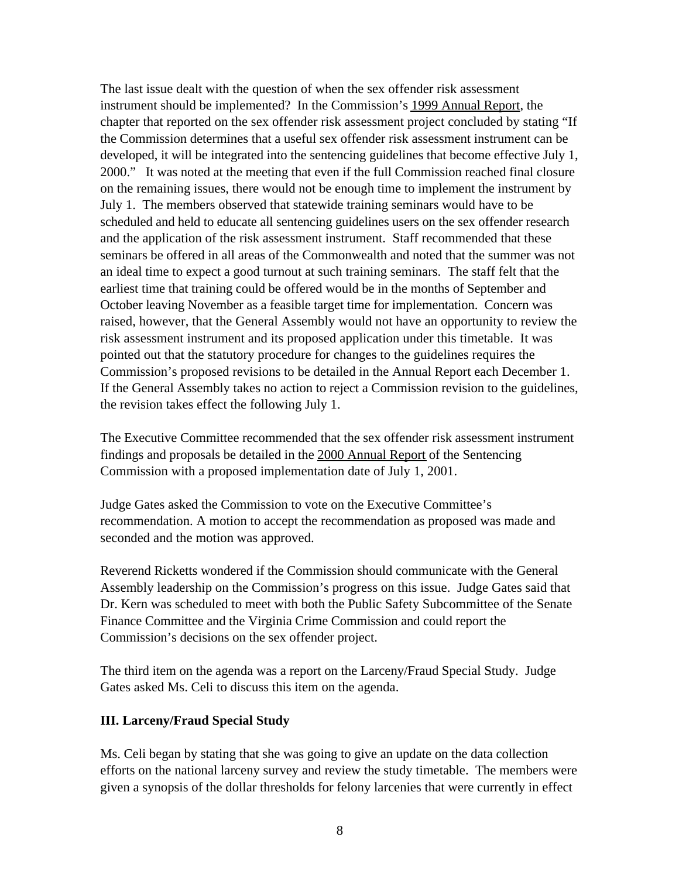The last issue dealt with the question of when the sex offender risk assessment instrument should be implemented? In the Commission's 1999 Annual Report, the chapter that reported on the sex offender risk assessment project concluded by stating "If the Commission determines that a useful sex offender risk assessment instrument can be developed, it will be integrated into the sentencing guidelines that become effective July 1, 2000." It was noted at the meeting that even if the full Commission reached final closure on the remaining issues, there would not be enough time to implement the instrument by July 1. The members observed that statewide training seminars would have to be scheduled and held to educate all sentencing guidelines users on the sex offender research and the application of the risk assessment instrument. Staff recommended that these seminars be offered in all areas of the Commonwealth and noted that the summer was not an ideal time to expect a good turnout at such training seminars. The staff felt that the earliest time that training could be offered would be in the months of September and October leaving November as a feasible target time for implementation. Concern was raised, however, that the General Assembly would not have an opportunity to review the risk assessment instrument and its proposed application under this timetable. It was pointed out that the statutory procedure for changes to the guidelines requires the Commission's proposed revisions to be detailed in the Annual Report each December 1. If the General Assembly takes no action to reject a Commission revision to the guidelines, the revision takes effect the following July 1.

The Executive Committee recommended that the sex offender risk assessment instrument findings and proposals be detailed in the 2000 Annual Report of the Sentencing Commission with a proposed implementation date of July 1, 2001.

Judge Gates asked the Commission to vote on the Executive Committee's recommendation. A motion to accept the recommendation as proposed was made and seconded and the motion was approved.

Reverend Ricketts wondered if the Commission should communicate with the General Assembly leadership on the Commission's progress on this issue. Judge Gates said that Dr. Kern was scheduled to meet with both the Public Safety Subcommittee of the Senate Finance Committee and the Virginia Crime Commission and could report the Commission's decisions on the sex offender project.

The third item on the agenda was a report on the Larceny/Fraud Special Study. Judge Gates asked Ms. Celi to discuss this item on the agenda.

#### **III. Larceny/Fraud Special Study**

Ms. Celi began by stating that she was going to give an update on the data collection efforts on the national larceny survey and review the study timetable. The members were given a synopsis of the dollar thresholds for felony larcenies that were currently in effect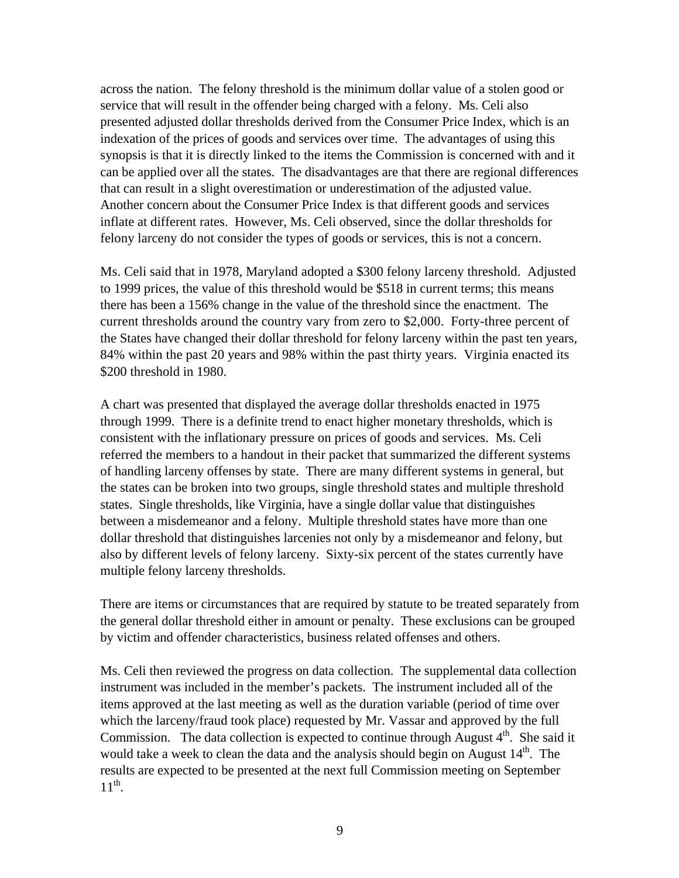across the nation. The felony threshold is the minimum dollar value of a stolen good or service that will result in the offender being charged with a felony. Ms. Celi also presented adjusted dollar thresholds derived from the Consumer Price Index, which is an indexation of the prices of goods and services over time. The advantages of using this synopsis is that it is directly linked to the items the Commission is concerned with and it can be applied over all the states. The disadvantages are that there are regional differences that can result in a slight overestimation or underestimation of the adjusted value. Another concern about the Consumer Price Index is that different goods and services inflate at different rates. However, Ms. Celi observed, since the dollar thresholds for felony larceny do not consider the types of goods or services, this is not a concern.

Ms. Celi said that in 1978, Maryland adopted a \$300 felony larceny threshold. Adjusted to 1999 prices, the value of this threshold would be \$518 in current terms; this means there has been a 156% change in the value of the threshold since the enactment. The current thresholds around the country vary from zero to \$2,000. Forty-three percent of the States have changed their dollar threshold for felony larceny within the past ten years, 84% within the past 20 years and 98% within the past thirty years. Virginia enacted its \$200 threshold in 1980.

A chart was presented that displayed the average dollar thresholds enacted in 1975 through 1999. There is a definite trend to enact higher monetary thresholds, which is consistent with the inflationary pressure on prices of goods and services. Ms. Celi referred the members to a handout in their packet that summarized the different systems of handling larceny offenses by state. There are many different systems in general, but the states can be broken into two groups, single threshold states and multiple threshold states. Single thresholds, like Virginia, have a single dollar value that distinguishes between a misdemeanor and a felony. Multiple threshold states have more than one dollar threshold that distinguishes larcenies not only by a misdemeanor and felony, but also by different levels of felony larceny. Sixty-six percent of the states currently have multiple felony larceny thresholds.

There are items or circumstances that are required by statute to be treated separately from the general dollar threshold either in amount or penalty. These exclusions can be grouped by victim and offender characteristics, business related offenses and others.

Ms. Celi then reviewed the progress on data collection. The supplemental data collection instrument was included in the member's packets. The instrument included all of the items approved at the last meeting as well as the duration variable (period of time over which the larceny/fraud took place) requested by Mr. Vassar and approved by the full Commission. The data collection is expected to continue through August  $4<sup>th</sup>$ . She said it would take a week to clean the data and the analysis should begin on August  $14<sup>th</sup>$ . The results are expected to be presented at the next full Commission meeting on September  $11<sup>th</sup>$ .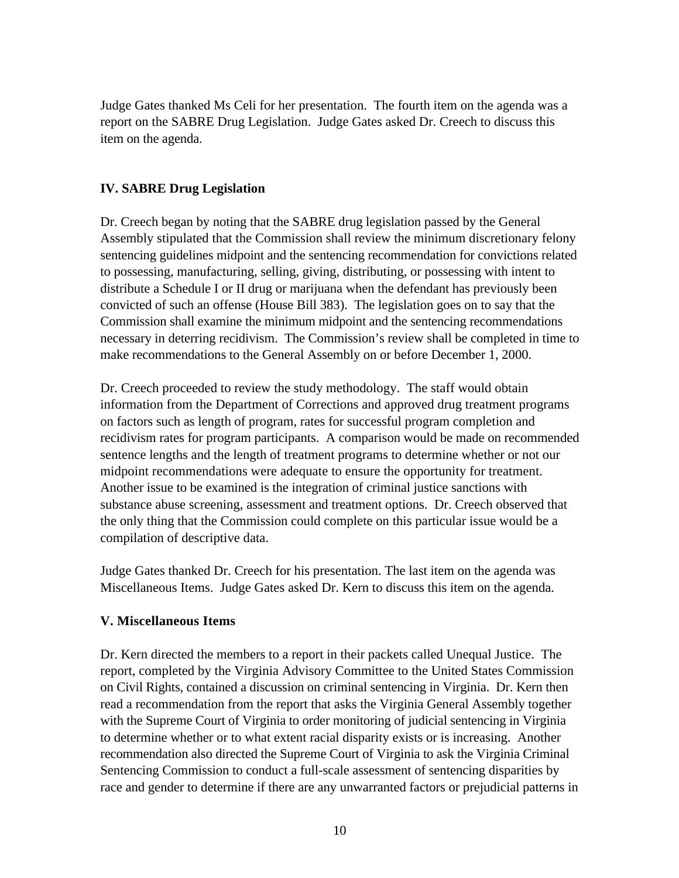Judge Gates thanked Ms Celi for her presentation. The fourth item on the agenda was a report on the SABRE Drug Legislation. Judge Gates asked Dr. Creech to discuss this item on the agenda.

## **IV. SABRE Drug Legislation**

Dr. Creech began by noting that the SABRE drug legislation passed by the General Assembly stipulated that the Commission shall review the minimum discretionary felony sentencing guidelines midpoint and the sentencing recommendation for convictions related to possessing, manufacturing, selling, giving, distributing, or possessing with intent to distribute a Schedule I or II drug or marijuana when the defendant has previously been convicted of such an offense (House Bill 383). The legislation goes on to say that the Commission shall examine the minimum midpoint and the sentencing recommendations necessary in deterring recidivism. The Commission's review shall be completed in time to make recommendations to the General Assembly on or before December 1, 2000.

Dr. Creech proceeded to review the study methodology. The staff would obtain information from the Department of Corrections and approved drug treatment programs on factors such as length of program, rates for successful program completion and recidivism rates for program participants. A comparison would be made on recommended sentence lengths and the length of treatment programs to determine whether or not our midpoint recommendations were adequate to ensure the opportunity for treatment. Another issue to be examined is the integration of criminal justice sanctions with substance abuse screening, assessment and treatment options. Dr. Creech observed that the only thing that the Commission could complete on this particular issue would be a compilation of descriptive data.

Judge Gates thanked Dr. Creech for his presentation. The last item on the agenda was Miscellaneous Items. Judge Gates asked Dr. Kern to discuss this item on the agenda.

## **V. Miscellaneous Items**

Dr. Kern directed the members to a report in their packets called Unequal Justice. The report, completed by the Virginia Advisory Committee to the United States Commission on Civil Rights, contained a discussion on criminal sentencing in Virginia. Dr. Kern then read a recommendation from the report that asks the Virginia General Assembly together with the Supreme Court of Virginia to order monitoring of judicial sentencing in Virginia to determine whether or to what extent racial disparity exists or is increasing. Another recommendation also directed the Supreme Court of Virginia to ask the Virginia Criminal Sentencing Commission to conduct a full-scale assessment of sentencing disparities by race and gender to determine if there are any unwarranted factors or prejudicial patterns in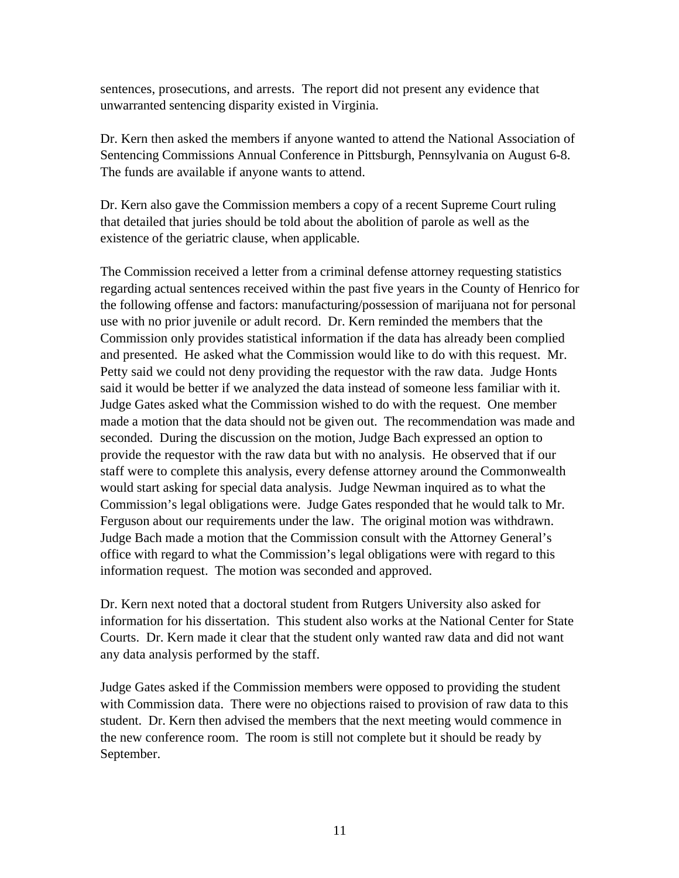sentences, prosecutions, and arrests. The report did not present any evidence that unwarranted sentencing disparity existed in Virginia.

Dr. Kern then asked the members if anyone wanted to attend the National Association of Sentencing Commissions Annual Conference in Pittsburgh, Pennsylvania on August 6-8. The funds are available if anyone wants to attend.

Dr. Kern also gave the Commission members a copy of a recent Supreme Court ruling that detailed that juries should be told about the abolition of parole as well as the existence of the geriatric clause, when applicable.

The Commission received a letter from a criminal defense attorney requesting statistics regarding actual sentences received within the past five years in the County of Henrico for the following offense and factors: manufacturing/possession of marijuana not for personal use with no prior juvenile or adult record. Dr. Kern reminded the members that the Commission only provides statistical information if the data has already been complied and presented. He asked what the Commission would like to do with this request. Mr. Petty said we could not deny providing the requestor with the raw data. Judge Honts said it would be better if we analyzed the data instead of someone less familiar with it. Judge Gates asked what the Commission wished to do with the request. One member made a motion that the data should not be given out. The recommendation was made and seconded. During the discussion on the motion, Judge Bach expressed an option to provide the requestor with the raw data but with no analysis. He observed that if our staff were to complete this analysis, every defense attorney around the Commonwealth would start asking for special data analysis. Judge Newman inquired as to what the Commission's legal obligations were. Judge Gates responded that he would talk to Mr. Ferguson about our requirements under the law. The original motion was withdrawn. Judge Bach made a motion that the Commission consult with the Attorney General's office with regard to what the Commission's legal obligations were with regard to this information request. The motion was seconded and approved.

Dr. Kern next noted that a doctoral student from Rutgers University also asked for information for his dissertation. This student also works at the National Center for State Courts. Dr. Kern made it clear that the student only wanted raw data and did not want any data analysis performed by the staff.

Judge Gates asked if the Commission members were opposed to providing the student with Commission data. There were no objections raised to provision of raw data to this student. Dr. Kern then advised the members that the next meeting would commence in the new conference room. The room is still not complete but it should be ready by September.